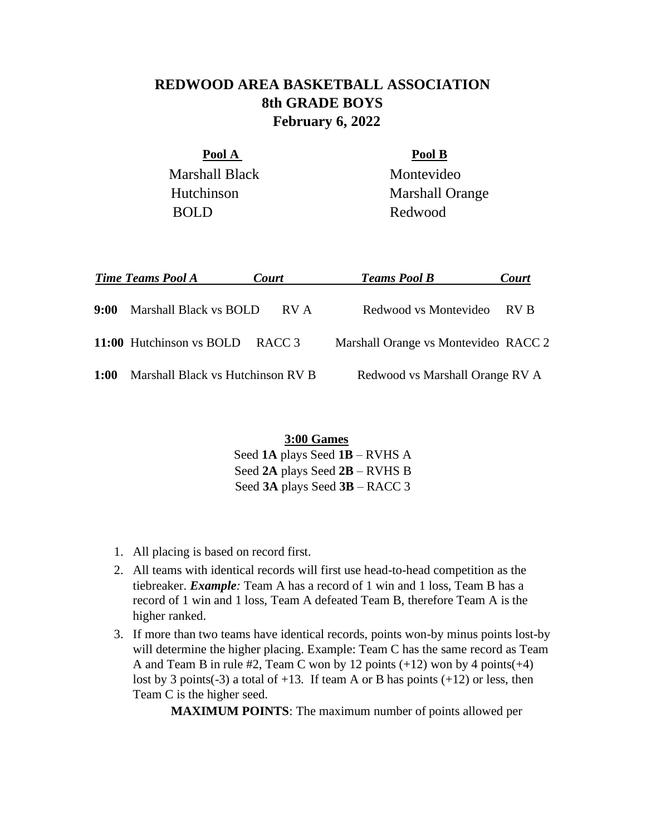## **REDWOOD AREA BASKETBALL ASSOCIATION 8th GRADE BOYS February 6, 2022**

Pool A Pool B Marshall Black Montevideo BOLD Redwood

Hutchinson Marshall Orange

|             | <b>Time Teams Pool A</b>          | <b>Court</b> | <b>Teams Pool B</b>                  | Court |
|-------------|-----------------------------------|--------------|--------------------------------------|-------|
| 9:00        | Marshall Black vs BOLD            | RV A         | Redwood vs Montevideo RV B           |       |
|             | 11:00 Hutchinson vs BOLD RACC 3   |              | Marshall Orange vs Montevideo RACC 2 |       |
| <b>1:00</b> | Marshall Black vs Hutchinson RV B |              | Redwood vs Marshall Orange RV A      |       |

**3:00 Games** Seed **1A** plays Seed **1B** – RVHS A Seed **2A** plays Seed **2B** – RVHS B Seed **3A** plays Seed **3B** – RACC 3

- 1. All placing is based on record first.
- 2. All teams with identical records will first use head-to-head competition as the tiebreaker. *Example:* Team A has a record of 1 win and 1 loss, Team B has a record of 1 win and 1 loss, Team A defeated Team B, therefore Team A is the higher ranked.
- 3. If more than two teams have identical records, points won-by minus points lost-by will determine the higher placing. Example: Team C has the same record as Team A and Team B in rule  $#2$ , Team C won by 12 points  $(+12)$  won by 4 points  $(+4)$ lost by 3 points (-3) a total of  $+13$ . If team A or B has points  $(+12)$  or less, then Team C is the higher seed.

**MAXIMUM POINTS**: The maximum number of points allowed per